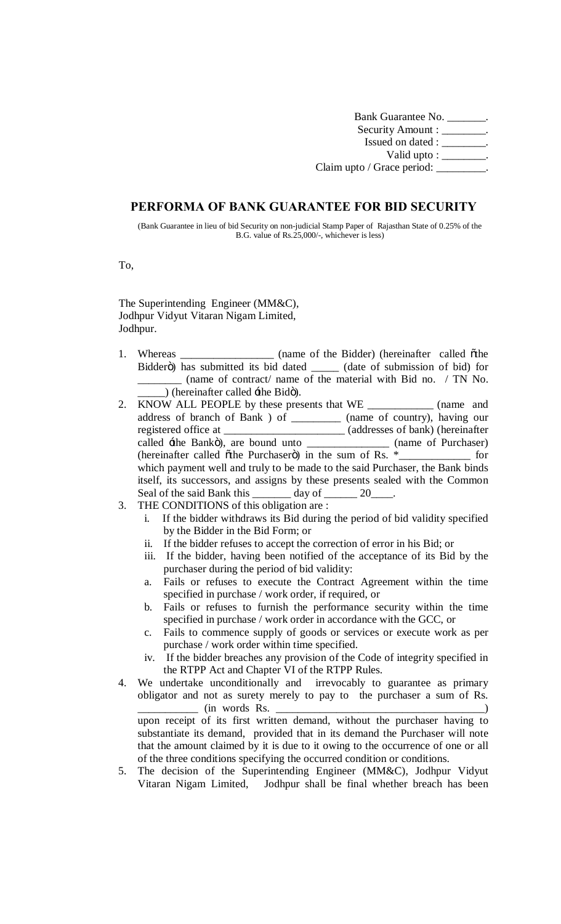Bank Guarantee No. \_\_\_\_\_\_\_. Security Amount : \_\_\_\_\_\_\_\_. Issued on dated : \_\_\_\_\_\_\_\_. Valid upto : \_\_\_\_\_\_\_\_. Claim upto / Grace period: \_\_\_\_\_\_\_\_.

## **PERFORMA OF BANK GUARANTEE FOR BID SECURITY**

(Bank Guarantee in lieu of bid Security on non-judicial Stamp Paper of Rajasthan State of 0.25% of the B.G. value of Rs.25,000/-, whichever is less)

To,

The Superintending Engineer (MM&C), Jodhpur Vidyut Vitaran Nigam Limited, Jodhpur.

- 1. Whereas \_\_\_\_\_\_\_\_\_\_\_\_\_\_ (name of the Bidder) (hereinafter called  $\ddot{o}$ the Bidderö) has submitted its bid dated \_\_\_\_\_\_ (date of submission of bid) for \_\_\_\_\_\_\_\_ (name of contract/ name of the material with Bid no. / TN No.  $\Box$ ) (hereinafter called  $\pm$ he Bidö).
- 2. KNOW ALL PEOPLE by these presents that WE \_\_\_\_\_\_\_\_\_\_\_\_ (name and address of branch of Bank ) of \_\_\_\_\_\_\_\_\_ (name of country), having our registered office at \_\_\_\_\_\_\_\_\_\_\_\_\_\_\_\_\_\_\_\_\_\_\_ (addresses of bank) (hereinafter called  $\pm$ he Bankö), are bound unto \_\_\_\_\_\_\_\_\_\_\_\_\_\_\_\_ (name of Purchaser) (hereinafter called othe Purchasero) in the sum of Rs.  $*$ \_\_\_\_\_\_\_\_\_\_\_\_\_\_\_ for which payment well and truly to be made to the said Purchaser, the Bank binds itself, its successors, and assigns by these presents sealed with the Common Seal of the said Bank this \_\_\_\_\_\_\_ day of \_\_\_\_\_\_ 20\_\_\_\_.
- 3. THE CONDITIONS of this obligation are :
	- i. If the bidder withdraws its Bid during the period of bid validity specified by the Bidder in the Bid Form; or
	- ii. If the bidder refuses to accept the correction of error in his Bid; or
	- iii. If the bidder, having been notified of the acceptance of its Bid by the purchaser during the period of bid validity:
	- a. Fails or refuses to execute the Contract Agreement within the time specified in purchase / work order, if required, or
	- b. Fails or refuses to furnish the performance security within the time specified in purchase / work order in accordance with the GCC, or
	- c. Fails to commence supply of goods or services or execute work as per purchase / work order within time specified.
	- iv. If the bidder breaches any provision of the Code of integrity specified in the RTPP Act and Chapter VI of the RTPP Rules.
- 4. We undertake unconditionally and irrevocably to guarantee as primary obligator and not as surety merely to pay to the purchaser a sum of Rs. \_\_\_\_\_\_\_\_\_\_\_ (in words Rs. \_\_\_\_\_\_\_\_\_\_\_\_\_\_\_\_\_\_\_\_\_\_\_\_\_\_\_\_\_\_\_\_\_\_\_\_\_\_) upon receipt of its first written demand, without the purchaser having to substantiate its demand, provided that in its demand the Purchaser will note that the amount claimed by it is due to it owing to the occurrence of one or all of the three conditions specifying the occurred condition or conditions.
- 5. The decision of the Superintending Engineer (MM&C), Jodhpur Vidyut Vitaran Nigam Limited, Jodhpur shall be final whether breach has been